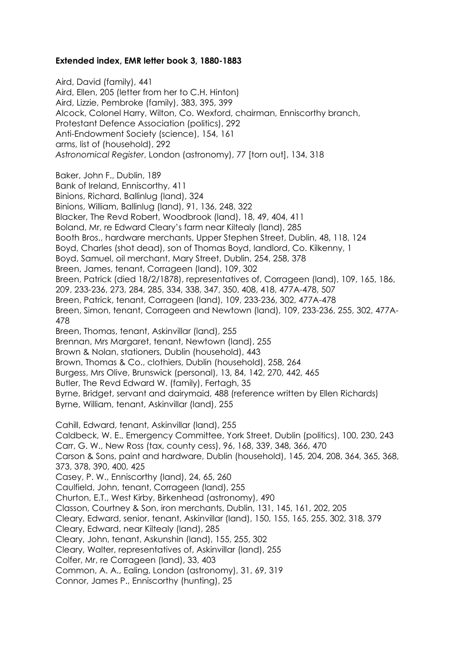## **Extended index, EMR letter book 3, 1880-1883**

Aird, David (family), 441 Aird, Ellen, 205 (letter from her to C.H. Hinton) Aird, Lizzie, Pembroke (family), 383, 395, 399 Alcock, Colonel Harry, Wilton, Co. Wexford, chairman, Enniscorthy branch, Protestant Defence Association (politics), 292 Anti-Endowment Society (science), 154, 161 arms, list of (household), 292 *Astronomical Register*, London (astronomy), 77 [torn out], 134, 318 Baker, John F., Dublin, 189 Bank of Ireland, Enniscorthy, 411 Binions, Richard, Ballinlug (land), 324 Binions, William, Ballinlug (land), 91, 136, 248, 322 Blacker, The Revd Robert, Woodbrook (land), 18, 49, 404, 411 Boland, Mr, re Edward Cleary's farm near Kiltealy (land), 285 Booth Bros., hardware merchants, Upper Stephen Street, Dublin, 48, 118, 124 Boyd, Charles (shot dead), son of Thomas Boyd, landlord, Co. Kilkenny, 1 Boyd, Samuel, oil merchant, Mary Street, Dublin, 254, 258, 378 Breen, James, tenant, Corrageen (land), 109, 302 Breen, Patrick (died 18/2/1878), representatives of, Corrageen (land), 109, 165, 186, 209, 233-236, 273, 284, 285, 334, 338, 347, 350, 408, 418, 477A-478, 507 Breen, Patrick, tenant, Corrageen (land), 109, 233-236, 302, 477A-478 Breen, Simon, tenant, Corrageen and Newtown (land), 109, 233-236, 255, 302, 477A-478 Breen, Thomas, tenant, Askinvillar (land), 255 Brennan, Mrs Margaret, tenant, Newtown (land), 255 Brown & Nolan, stationers, Dublin (household), 443 Brown, Thomas & Co., clothiers, Dublin (household), 258, 264 Burgess, Mrs Olive, Brunswick (personal), 13, 84, 142, 270, 442, 465 Butler, The Revd Edward W. (family), Fertagh, 35 Byrne, Bridget, servant and dairymaid, 488 (reference written by Ellen Richards) Byrne, William, tenant, Askinvillar (land), 255 Cahill, Edward, tenant, Askinvillar (land), 255 Caldbeck, W. E., Emergency Committee, York Street, Dublin (politics), 100, 230, 243 Carr, G. W., New Ross (tax, county cess), 96, 168, 339, 348, 366, 470 Carson & Sons, paint and hardware, Dublin (household), 145, 204, 208, 364, 365, 368, 373, 378, 390, 400, 425 Casey, P. W., Enniscorthy (land), 24, 65, 260 Caulfield, John, tenant, Corrageen (land), 255 Churton, E.T., West Kirby, Birkenhead (astronomy), 490 Classon, Courtney & Son, iron merchants, Dublin, 131, 145, 161, 202, 205 Cleary, Edward, senior, tenant, Askinvillar (land), 150, 155, 165, 255, 302, 318, 379 Cleary, Edward, near Kiltealy (land), 285 Cleary, John, tenant, Askunshin (land), 155, 255, 302 Cleary, Walter, representatives of, Askinvillar (land), 255 Colfer, Mr, re Corrageen (land), 33, 403 Common, A. A., Ealing, London (astronomy), 31, 69, 319 Connor, James P., Enniscorthy (hunting), 25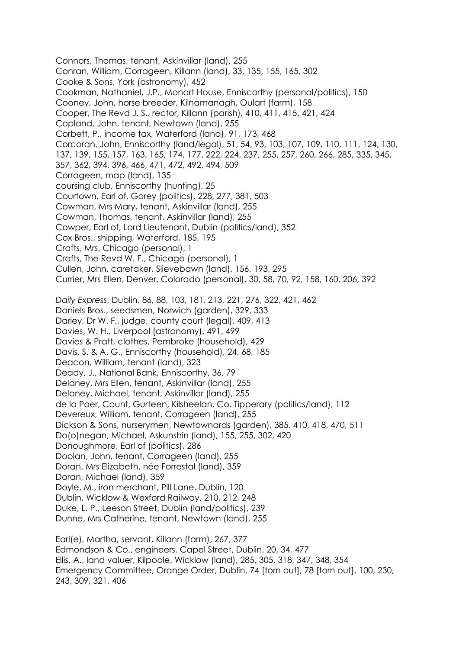Connors, Thomas, tenant, Askinvillar (land), 255 Conran, William, Corrageen, Killann (land), 33, 135, 155, 165, 302 Cooke & Sons, York (astronomy), 452 Cookman, Nathaniel, J.P., Monart House, Enniscorthy (personal/politics), 150 Cooney, John, horse breeder, Kilnamanagh, Oulart (farm), 158 Cooper, The Revd J. S., rector, Killann (parish), 410, 411, 415, 421, 424 Copland, John, tenant, Newtown (land), 255 Corbett, P., income tax, Waterford (land), 91, 173, 468 Corcoran, John, Enniscorthy (land/legal), 51, 54, 93, 103, 107, 109, 110, 111, 124, 130, 137, 139, 155, 157, 163, 165, 174, 177, 222, 224, 237, 255, 257, 260, 266, 285, 335, 345, 357, 362, 394, 396, 466, 471, 472, 492, 494, 509 Corrageen, map (land), 135 coursing club, Enniscorthy (hunting), 25 Courtown, Earl of, Gorey (politics), 228, 277, 381, 503 Cowman, Mrs Mary, tenant, Askinvillar (land), 255 Cowman, Thomas, tenant, Askinvillar (land), 255 Cowper, Earl of, Lord Lieutenant, Dublin (politics/land), 352 Cox Bros., shipping, Waterford, 185, 195 Crafts, Mrs, Chicago (personal), 1 Crafts, The Revd W. F., Chicago (personal), 1 Cullen, John, caretaker, Slievebawn (land), 156, 193, 295 Currier, Mrs Ellen, Denver, Colorado (personal), 30, 58, 70, 92, 158, 160, 206, 392 *Daily Express*, Dublin, 86, 88, 103, 181, 213, 221, 276, 322, 421, 462 Daniels Bros., seedsmen, Norwich (garden), 329, 333 Darley, Dr W. F., judge, county court (legal), 409, 413 Davies, W. H., Liverpool (astronomy), 491, 499 Davies & Pratt, clothes, Pembroke (household), 429 Davis, S. & A. G., Enniscorthy (household), 24, 68, 185 Deacon, William, tenant (land), 323 Deady, J., National Bank, Enniscorthy, 36, 79 Delaney, Mrs Ellen, tenant, Askinvillar (land), 255 Delaney, Michael, tenant, Askinvillar (land), 255 de la Poer, Count, Gurteen, Kilsheelan, Co. Tipperary (politics/land), 112 Devereux, William, tenant, Corrageen (land), 255 Dickson & Sons, nurserymen, Newtownards (garden), 385, 410, 418, 470, 511 Do(o)negan, Michael, Askunshin (land), 155, 255, 302, 420 Donoughmore, Earl of (politics), 286 Doolan, John, tenant, Corrageen (land), 255 Doran, Mrs Elizabeth, née Forrestal (land), 359 Doran, Michael (land), 359 Doyle, M., iron merchant, Pill Lane, Dublin, 120 Dublin, Wicklow & Wexford Railway, 210, 212, 248 Duke, L. P., Leeson Street, Dublin (land/politics), 239 Dunne, Mrs Catherine, tenant, Newtown (land), 255 Earl(e), Martha, servant, Killann (farm), 267, 377 Edmondson & Co., engineers, Capel Street, Dublin, 20, 34, 477

Ellis, A., land valuer, Kilpoole, Wicklow (land), 285, 305, 318, 347, 348, 354 Emergency Committee, Orange Order, Dublin, 74 [torn out], 78 [torn out], 100, 230, 243, 309, 321, 406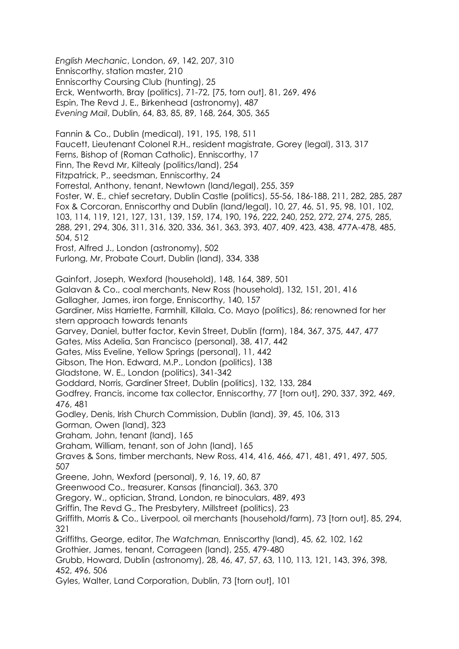*English Mechanic*, London, 69, 142, 207, 310 Enniscorthy, station master, 210 Enniscorthy Coursing Club (hunting), 25 Erck, Wentworth, Bray (politics), 71-72, [75, torn out], 81, 269, 496 Espin, The Revd J. E., Birkenhead (astronomy), 487 *Evening Mail*, Dublin, 64, 83, 85, 89, 168, 264, 305, 365 Fannin & Co., Dublin (medical), 191, 195, 198, 511 Faucett, Lieutenant Colonel R.H., resident magistrate, Gorey (legal), 313, 317 Ferns, Bishop of (Roman Catholic), Enniscorthy, 17 Finn, The Revd Mr, Kiltealy (politics/land), 254 Fitzpatrick, P., seedsman, Enniscorthy, 24 Forrestal, Anthony, tenant, Newtown (land/legal), 255, 359 Foster, W. E., chief secretary, Dublin Castle (politics), 55-56, 186-188, 211, 282, 285, 287 Fox & Corcoran, Enniscorthy and Dublin (land/legal), 10, 27, 46, 51, 95, 98, 101, 102, 103, 114, 119, 121, 127, 131, 139, 159, 174, 190, 196, 222, 240, 252, 272, 274, 275, 285, 288, 291, 294, 306, 311, 316, 320, 336, 361, 363, 393, 407, 409, 423, 438, 477A-478, 485, 504, 512 Frost, Alfred J., London (astronomy), 502 Furlong, Mr, Probate Court, Dublin (land), 334, 338 Gainfort, Joseph, Wexford (household), 148, 164, 389, 501 Galavan & Co., coal merchants, New Ross (household), 132, 151, 201, 416 Gallagher, James, iron forge, Enniscorthy, 140, 157 Gardiner, Miss Harriette, Farmhill, Killala, Co. Mayo (politics), 86; renowned for her stern approach towards tenants Garvey, Daniel, butter factor, Kevin Street, Dublin (farm), 184, 367, 375, 447, 477 Gates, Miss Adelia, San Francisco (personal), 38, 417, 442 Gates, Miss Eveline, Yellow Springs (personal), 11, 442 Gibson, The Hon. Edward, M.P., London (politics), 138 Gladstone, W. E., London (politics), 341-342 Goddard, Norris, Gardiner Street, Dublin (politics), 132, 133, 284 Godfrey, Francis, income tax collector, Enniscorthy, 77 [torn out], 290, 337, 392, 469, 476, 481 Godley, Denis, Irish Church Commission, Dublin (land), 39, 45, 106, 313 Gorman, Owen (land), 323 Graham, John, tenant (land), 165 Graham, William, tenant, son of John (land), 165 Graves & Sons, timber merchants, New Ross, 414, 416, 466, 471, 481, 491, 497, 505, 507 Greene, John, Wexford (personal), 9, 16, 19, 60, 87 Greenwood Co., treasurer, Kansas (financial), 363, 370 Gregory, W., optician, Strand, London, re binoculars, 489, 493 Griffin, The Revd G., The Presbytery, Millstreet (politics), 23 Griffith, Morris & Co., Liverpool, oil merchants (household/farm), 73 [torn out], 85, 294, 321 Griffiths, George, editor, *The Watchman,* Enniscorthy (land), 45, 62, 102, 162 Grothier, James, tenant, Corrageen (land), 255, 479-480 Grubb, Howard, Dublin (astronomy), 28, 46, 47, 57, 63, 110, 113, 121, 143, 396, 398, 452, 496, 506 Gyles, Walter, Land Corporation, Dublin, 73 [torn out], 101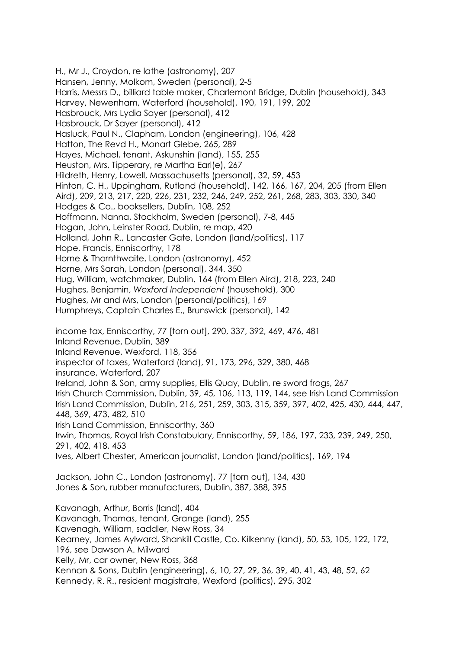H., Mr J., Croydon, re lathe (astronomy), 207 Hansen, Jenny, Molkom, Sweden (personal), 2-5 Harris, Messrs D., billiard table maker, Charlemont Bridge, Dublin (household), 343 Harvey, Newenham, Waterford (household), 190, 191, 199, 202 Hasbrouck, Mrs Lydia Sayer (personal), 412 Hasbrouck, Dr Sayer (personal), 412 Hasluck, Paul N., Clapham, London (engineering), 106, 428 Hatton, The Revd H., Monart Glebe, 265, 289 Hayes, Michael, tenant, Askunshin (land), 155, 255 Heuston, Mrs, Tipperary, re Martha Earl(e), 267 Hildreth, Henry, Lowell, Massachusetts (personal), 32, 59, 453 Hinton, C. H., Uppingham, Rutland (household), 142, 166, 167, 204, 205 (from Ellen Aird), 209, 213, 217, 220, 226, 231, 232, 246, 249, 252, 261, 268, 283, 303, 330, 340 Hodges & Co., booksellers, Dublin, 108, 252 Hoffmann, Nanna, Stockholm, Sweden (personal), 7-8, 445 Hogan, John, Leinster Road, Dublin, re map, 420 Holland, John R., Lancaster Gate, London (land/politics), 117 Hope, Francis, Enniscorthy, 178 Horne & Thornthwaite, London (astronomy), 452 Horne, Mrs Sarah, London (personal), 344. 350 Hug, William, watchmaker, Dublin, 164 (from Ellen Aird), 218, 223, 240 Hughes, Benjamin, *Wexford Independent* (household), 300 Hughes, Mr and Mrs, London (personal/politics), 169 Humphreys, Captain Charles E., Brunswick (personal), 142 income tax, Enniscorthy, 77 [torn out], 290, 337, 392, 469, 476, 481 Inland Revenue, Dublin, 389 Inland Revenue, Wexford, 118, 356 inspector of taxes, Waterford (land), 91, 173, 296, 329, 380, 468 insurance, Waterford, 207 Ireland, John & Son, army supplies, Ellis Quay, Dublin, re sword frogs, 267 Irish Church Commission, Dublin, 39, 45, 106, 113, 119, 144, see Irish Land Commission Irish Land Commission, Dublin, 216, 251, 259, 303, 315, 359, 397, 402, 425, 430, 444, 447, 448, 369, 473, 482, 510 Irish Land Commission, Enniscorthy, 360 Irwin, Thomas, Royal Irish Constabulary, Enniscorthy, 59, 186, 197, 233, 239, 249, 250, 291, 402, 418, 453 Ives, Albert Chester, American journalist, London (land/politics), 169, 194 Jackson, John C., London (astronomy), 77 [torn out], 134, 430 Jones & Son, rubber manufacturers, Dublin, 387, 388, 395 Kavanagh, Arthur, Borris (land), 404 Kavanagh, Thomas, tenant, Grange (land), 255 Kavenagh, William, saddler, New Ross, 34 Kearney, James Aylward, Shankill Castle, Co. Kilkenny (land), 50, 53, 105, 122, 172, 196, see Dawson A. Milward Kelly, Mr, car owner, New Ross, 368 Kennan & Sons, Dublin (engineering), 6, 10, 27, 29, 36, 39, 40, 41, 43, 48, 52, 62 Kennedy, R. R., resident magistrate, Wexford (politics), 295, 302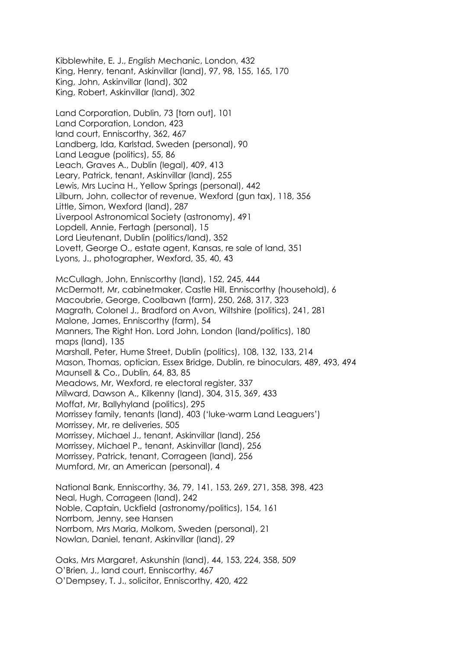Kibblewhite, E. J., *English* Mechanic, London, 432 King, Henry, tenant, Askinvillar (land), 97, 98, 155, 165, 170 King, John, Askinvillar (land), 302 King, Robert, Askinvillar (land), 302

Land Corporation, Dublin, 73 [torn out], 101 Land Corporation, London, 423 land court, Enniscorthy, 362, 467 Landberg, Ida, Karlstad, Sweden (personal), 90 Land League (politics), 55, 86 Leach, Graves A., Dublin (legal), 409, 413 Leary, Patrick, tenant, Askinvillar (land), 255 Lewis, Mrs Lucina H., Yellow Springs (personal), 442 Lilburn, John, collector of revenue, Wexford (gun tax), 118, 356 Little, Simon, Wexford (land), 287 Liverpool Astronomical Society (astronomy), 491 Lopdell, Annie, Fertagh (personal), 15 Lord Lieutenant, Dublin (politics/land), 352 Lovett, George O., estate agent, Kansas, re sale of land, 351 Lyons, J., photographer, Wexford, 35, 40, 43

McCullagh, John, Enniscorthy (land), 152, 245, 444 McDermott, Mr, cabinetmaker, Castle Hill, Enniscorthy (household), 6 Macoubrie, George, Coolbawn (farm), 250, 268, 317, 323 Magrath, Colonel J., Bradford on Avon, Wiltshire (politics), 241, 281 Malone, James, Enniscorthy (farm), 54 Manners, The Right Hon. Lord John, London (land/politics), 180 maps (land), 135 Marshall, Peter, Hume Street, Dublin (politics), 108, 132, 133, 214 Mason, Thomas, optician, Essex Bridge, Dublin, re binoculars, 489, 493, 494 Maunsell & Co., Dublin, 64, 83, 85 Meadows, Mr, Wexford, re electoral register, 337 Milward, Dawson A., Kilkenny (land), 304, 315, 369, 433 Moffat, Mr, Ballyhyland (politics), 295 Morrissey family, tenants (land), 403 ('luke-warm Land Leaguers') Morrissey, Mr, re deliveries, 505 Morrissey, Michael J., tenant, Askinvillar (land), 256 Morrissey, Michael P., tenant, Askinvillar (land), 256 Morrissey, Patrick, tenant, Corrageen (land), 256 Mumford, Mr, an American (personal), 4

National Bank, Enniscorthy, 36, 79, 141, 153, 269, 271, 358, 398, 423 Neal, Hugh, Corrageen (land), 242 Noble, Captain, Uckfield (astronomy/politics), 154, 161 Norrbom, Jenny, see Hansen Norrbom, Mrs Maria, Molkom, Sweden (personal), 21 Nowlan, Daniel, tenant, Askinvillar (land), 29

Oaks, Mrs Margaret, Askunshin (land), 44, 153, 224, 358, 509 O'Brien, J., land court, Enniscorthy, 467 O'Dempsey, T. J., solicitor, Enniscorthy, 420, 422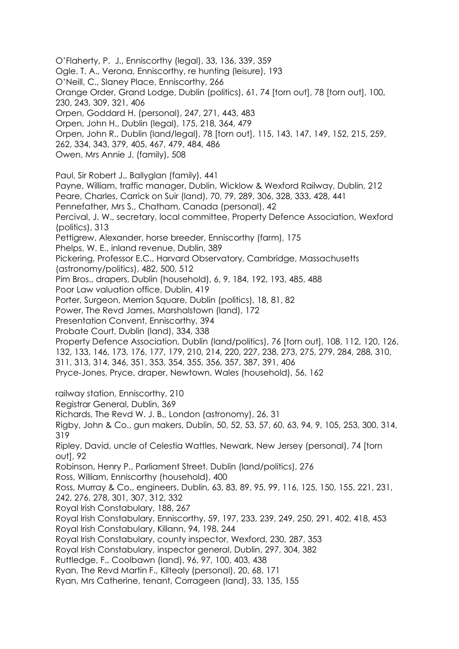O'Flaherty, P. J., Enniscorthy (legal), 33, 136, 339, 359 Ogle, T. A., Verona, Enniscorthy, re hunting (leisure), 193 O'Neill, C., Slaney Place, Enniscorthy, 266 Orange Order, Grand Lodge, Dublin (politics), 61, 74 [torn out], 78 [torn out], 100, 230, 243, 309, 321, 406 Orpen, Goddard H. (personal), 247, 271, 443, 483 Orpen, John H., Dublin (legal), 175, 218, 364, 479 Orpen, John R., Dublin (land/legal), 78 [torn out], 115, 143, 147, 149, 152, 215, 259, 262, 334, 343, 379, 405, 467, 479, 484, 486 Owen, Mrs Annie J. (family), 508 Paul, Sir Robert J., Ballyglan (family), 441 Payne, William, traffic manager, Dublin, Wicklow & Wexford Railway, Dublin, 212 Peare, Charles, Carrick on Suir (land), 70, 79, 289, 306, 328, 333, 428, 441 Pennefather, Mrs S., Chatham, Canada (personal), 42 Percival, J. W., secretary, local committee, Property Defence Association, Wexford (politics), 313 Pettigrew, Alexander, horse breeder, Enniscorthy (farm), 175 Phelps, W. E., inland revenue, Dublin, 389 Pickering, Professor E.C., Harvard Observatory, Cambridge, Massachusetts (astronomy/politics), 482, 500, 512 Pim Bros., drapers, Dublin (household), 6, 9, 184, 192, 193, 485, 488 Poor Law valuation office, Dublin, 419 Porter, Surgeon, Merrion Square, Dublin (politics), 18, 81, 82 Power, The Revd James, Marshalstown (land), 172 Presentation Convent, Enniscorthy, 394 Probate Court, Dublin (land), 334, 338 Property Defence Association, Dublin (land/politics), 76 [torn out], 108, 112, 120, 126, 132, 133, 146, 173, 176, 177, 179, 210, 214, 220, 227, 238, 273, 275, 279, 284, 288, 310, 311, 313, 314, 346, 351, 353, 354, 355, 356, 357, 387, 391, 406 Pryce-Jones, Pryce, draper, Newtown, Wales (household), 56, 162 railway station, Enniscorthy, 210 Registrar General, Dublin, 369 Richards, The Revd W. J. B., London (astronomy), 26, 31 Rigby, John & Co., gun makers, Dublin, 50, 52, 53, 57, 60, 63, 94, 9, 105, 253, 300, 314, 319 Ripley, David, uncle of Celestia Wattles, Newark, New Jersey (personal), 74 [torn out], 92 Robinson, Henry P., Parliament Street, Dublin (land/politics), 276 Ross, William, Enniscorthy (household), 400 Ross, Murray & Co., engineers, Dublin, 63, 83, 89, 95, 99, 116, 125, 150, 155, 221, 231, 242, 276, 278, 301, 307, 312, 332 Royal Irish Constabulary, 188, 267 Royal Irish Constabulary, Enniscorthy, 59, 197, 233, 239, 249, 250, 291, 402, 418, 453 Royal Irish Constabulary, Killann, 94, 198, 244 Royal Irish Constabulary, county inspector, Wexford, 230, 287, 353 Royal Irish Constabulary, inspector general, Dublin, 297, 304, 382 Ruttledge, F., Coolbawn (land), 96, 97, 100, 403, 438 Ryan, The Revd Martin F., Kiltealy (personal), 20, 68, 171 Ryan, Mrs Catherine, tenant, Corrageen (land), 33, 135, 155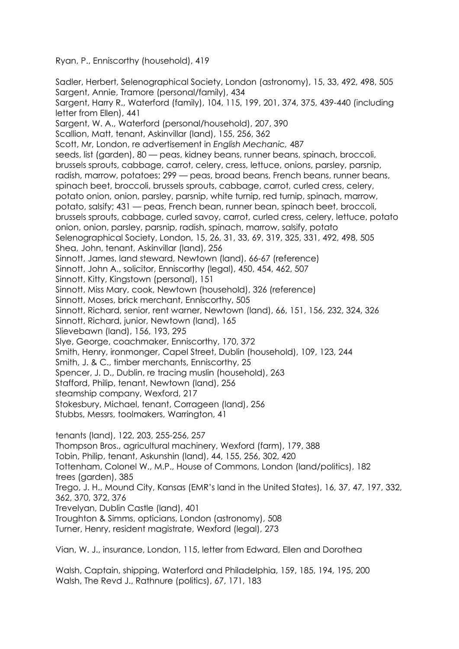Ryan, P., Enniscorthy (household), 419

Sadler, Herbert, Selenographical Society, London (astronomy), 15, 33, 492, 498, 505 Sargent, Annie, Tramore (personal/family), 434 Sargent, Harry R., Waterford (family), 104, 115, 199, 201, 374, 375, 439-440 (including letter from Ellen), 441 Sargent, W. A., Waterford (personal/household), 207, 390 Scallion, Matt, tenant, Askinvillar (land), 155, 256, 362 Scott, Mr, London, re advertisement in *English Mechanic,* 487 seeds, list (garden), 80 — peas, kidney beans, runner beans, spinach, broccoli, brussels sprouts, cabbage, carrot, celery, cress, lettuce, onions, parsley, parsnip, radish, marrow, potatoes; 299 — peas, broad beans, French beans, runner beans, spinach beet, broccoli, brussels sprouts, cabbage, carrot, curled cress, celery, potato onion, onion, parsley, parsnip, white turnip, red turnip, spinach, marrow, potato, salsify; 431 — peas, French bean, runner bean, spinach beet, broccoli, brussels sprouts, cabbage, curled savoy, carrot, curled cress, celery, lettuce, potato onion, onion, parsley, parsnip, radish, spinach, marrow, salsify, potato Selenographical Society, London, 15, 26, 31, 33, 69, 319, 325, 331, 492, 498, 505 Shea, John, tenant, Askinvillar (land), 256 Sinnott, James, land steward, Newtown (land), 66-67 (reference) Sinnott, John A., solicitor, Enniscorthy (legal), 450, 454, 462, 507 Sinnott, Kitty, Kingstown (personal), 151 Sinnott, Miss Mary, cook, Newtown (household), 326 (reference) Sinnott, Moses, brick merchant, Enniscorthy, 505 Sinnott, Richard, senior, rent warner, Newtown (land), 66, 151, 156, 232, 324, 326 Sinnott, Richard, junior, Newtown (land), 165 Slievebawn (land), 156, 193, 295 Slye, George, coachmaker, Enniscorthy, 170, 372 Smith, Henry, ironmonger, Capel Street, Dublin (household), 109, 123, 244 Smith, J. & C., timber merchants, Enniscorthy, 25 Spencer, J. D., Dublin, re tracing muslin (household), 263 Stafford, Philip, tenant, Newtown (land), 256 steamship company, Wexford, 217 Stokesbury, Michael, tenant, Corrageen (land), 256 Stubbs, Messrs, toolmakers, Warrington, 41 tenants (land), 122, 203, 255-256, 257 Thompson Bros., agricultural machinery, Wexford (farm), 179, 388 Tobin, Philip, tenant, Askunshin (land), 44, 155, 256, 302, 420 Tottenham, Colonel W., M.P., House of Commons, London (land/politics), 182 trees (garden), 385 Trego, J. H., Mound City, Kansas (EMR's land in the United States), 16, 37, 47, 197, 332, 362, 370, 372, 376 Trevelyan, Dublin Castle (land), 401 Troughton & Simms, opticians, London (astronomy), 508

Turner, Henry, resident magistrate, Wexford (legal), 273

Vian, W. J., insurance, London, 115, letter from Edward, Ellen and Dorothea

Walsh, Captain, shipping, Waterford and Philadelphia, 159, 185, 194, 195, 200 Walsh, The Revd J., Rathnure (politics), 67, 171, 183